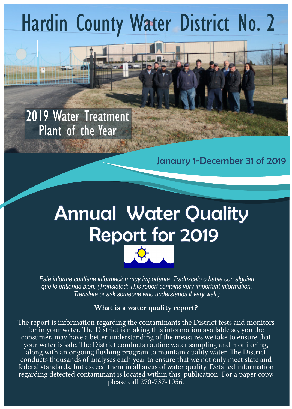# Hardin County Water District No. 2

## 2019 Water Treatment Plant of the Year

Janaury 1-December 31 of 2019

# Annual Water Quality Report for 2019



*Este informe contiene informacion muy importante. Traduzcalo o hable con alguien que lo entienda bien. (Translated: This report contains very important information. Translate or ask someone who understands it very well.)*

### **What is a water quality report?**

The report is information regarding the contaminants the District tests and monitors for in your water. The District is making this information available so, you the consumer, may have a better understanding of the measures we take to ensure that your water is safe. The District conducts routine water sampling and monitoring, along with an ongoing flushing program to maintain quality water. The District conducts thousands of analyses each year to ensure that we not only meet state and federal standards, but exceed them in all areas of water quality. Detailed information regarding detected contaminant is located within this publication. For a paper copy, please call 270-737-1056.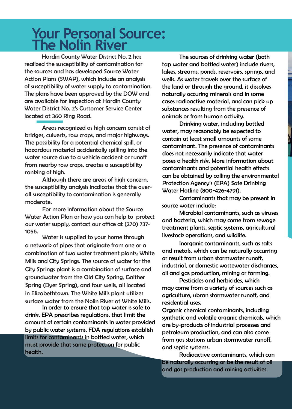## **Your Personal Source: The Nolin River**

Hardin County Water District No. 2 has realized the susceptibility of contamination for the sources and has developed Source Water Action Plans (SWAP), which include an analysis of susceptibility of water supply to contamination. The plans have been approved by the DOW and are available for inspection at Hardin County Water District No. 2's Customer Service Center located at 360 Ring Road.

Areas recognized as high concern consist of bridges, culverts, row crops, and major highways. The possibility for a potential chemical spill, or hazardous material accidentally spilling into the water source due to a vehicle accident or runoff from nearby row crops, creates a susceptibility ranking of high.

Although there are areas of high concern, the susceptibility analysis incdicates that the overall susceptibility to contamination is generally moderate.

For more information about the Source Water Action Plan or how you can help to protect our water supply, contact our office at (270) 737- 1056.

Water is supplied to your home through a network of pipes that originate from one or a combination of two water treatment plants; White Mills and City Springs. The source of water for the City Springs plant is a combination of surface and groundwater from the Old City Spring, Gaither Spring (Dyer Spring), and four wells, all located in Elizabethtown. The White Mills plant utilizes surface water from the Nolin River at White Mills.

In order to ensure that tap water is safe to drink, EPA prescribes regulations, that limit the amount of certain contaminants in water provided by public water systems. FDA regulations establish limits for contaminants in bottled water, which must provide that same protection for public health.

The sources of drinking water (both tap water and bottled water) include rivers, lakes, streams, ponds, reservoirs, springs, and wells. As water travels over the surface of the land or through the ground, it dissolves naturally occuring minerals and in some cases radioactive material, and can pick up substances resulting from the presence of animals or from human activity.

Drinking water, including bottled water, may reasonably be expected to contain at least small amounts of some contaminant. The presence of contaminants does not necessarily indicate that water poses a health risk. More information about contaminants and potential health effects can be obtained by calling the environmental Protection Agency's (EPA) Safe Drinking Water Hotline (800-426-4791).

Contaminants that may be present in source water include:

Microbial contaminants, such as viruses and bacteria, which may come from sewage treatment plants, septic systems, agricultural livestock operations, and wildlife.

Inorganic contaminants, such as salts and metals, which can be naturally occurring or result from urban stormwater runoff, industrial, or domestic wastewater discharges, oil and gas production, mining or farming.

Pesticides and herbicides, which may come from a variety of sources such as agriculture, ubran stormwater runoff, and residential uses.

Organic chemical contaminants, including synthetic and volatile organic chemicals, which are by-products of industrial processes and petroleum production, and can also come from gas stations urban stormwater runoff, and septic systems.

Radioactive contaminants, which can be naturally occurring or be the result of oil and gas production and mining activities.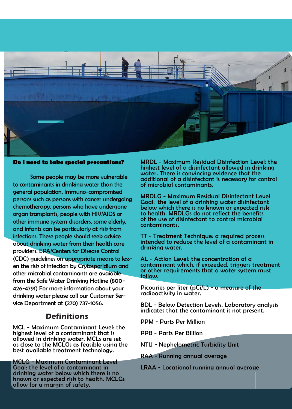

#### **Do I need to take special precautions?**

Some people may be more vulnerable to contaminants in drinking water than the general population. Immuno-compromised persons such as persons with cancer undergoing chemotherapy, persons who have undergone organ transplants, people with HIV/AIDS or other immune system disorders, some elderly, and infants can be particularly at risk from infections. These people should seek advice about drinking water from their health care providers. EPA/Centers for Disease Control (CDC) guidelines on appropriate means to lessen the risk of infection by Crytosporidium and other microbial contaminants are avaiable from the Safe Water Drinking Hotline (800- 426-4791) For more information about your drinking water please call our Customer Service Department at (270) 737-1056.

### **Definitions**

MCL - Maximum Contaminant Level: the highest level of a contaminant that is allowed in drinking water. MCLs are set as close to the MCLGs as feasible using the best available treatment technology.

MCLG - Maximum Contaminant Level Goal: the level of a contaminant in drinking water below which there is no known or expected risk to health. MCLGs allow for a margin of safety.

MRDL - Maximum Residual Disinfection Level: the highest level of a disinfectant allowed in drinking water. There is convincing evidence that the additional of a disinfectant is necessary for control of microbial contaminants.

MRDLG - Maximum Residual Disinfectant Level Goal: the level of a drinking water disinfectant below which there is no known or expected risk to health. MRDLGs do not reflect the benefits of the use of disinfectant to control microbial contaminants.

TT - Treatment Technique: a required process intended to reduce the level of a contaminant in drinking water.

AL - Action Level: the concentration of a contaminant which, if exceeded, triggers treatment or other requirements that a water system must follow.

Picouries per liter (pCi/L) - a measure of the radioactivity in water.

BDL - Below Detection Levels. Laboratory analysis indicates that the contaminant is not present.

PPM - Parts Per Million

PPB - Parts Per Billion

NTU - Nephelometric Turbidity Unit

RAA - Running annual average

LRAA - Locational running annual average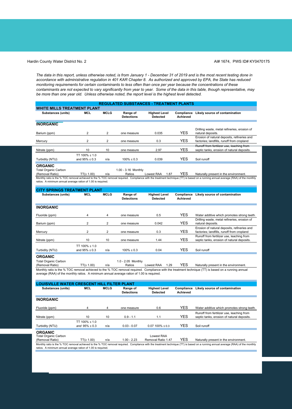#### Hardin County Water District No. 2 **AI# 1674, PWS ID# KY0470175** AI# 1674, PWS ID# KY0470175

*The data in this report, unless otherwise noted, is from January 1 - December 31 of 2019 and is the most recent testing done in accordance with administrative regulation in 401 KAR Chapter 8. As authorized and approved by EPA, the State has reduced monitoring requirements for certain contaminants to less often than once per year because the concentrations of these contaminants are not expected to vary significantly from year to year. Some of the data in this table, though representative, may be more than one year old. Unless otherwise noted, the report level is the highest level detected.*

#### **MCL MCLG** 2 2 2 2 10 10 TT 100% ≤ 1.0 and  $95% ≤ 0.3$  n/a TT(≥ 1.00) n/a **MCL MCLG REGULATED SUBSTANCES - TREATMENT PLANTS WHITE MILLS TREATMENT PLANT** Substances (units) **MCL MCLG** Range of **Detections Highest Level Detected Compliance Likely source of contamination Achieved ORGANIC** Turbidity (NTU)  $and 95\% \le 0.3$   $n/a$   $100\% \le 0.3$  0.039 YES Soil runoff one measure 0.3 YES Erosion of natural deposits, refineries and factories; landfills, runoff from cropland **INORGANIC** Nitrate (ppm) 10 10 one measure 2.97 YES Runoff from fertilizer use, leaching from septic tanks, erosion of natural deposits. Barium (ppm) 2 2 0ne measure 0.035 YES Drilling waste, metal refineries, erosion of natural deposits. **Mercury** Total Organic Carbon (Removal Ratio) 1.00 - 3.16 Monthly 1.87 YES Naturally present in the environment. Monthly ratio is the % TOC removal achieved to the % TOC removal required. Compliance with the treatment technique (TT) is based on a running annual average (RAA) of the monthly ratios. A minimum annual average ration of 1.00 is required. **CITY SPRINGS TREATMENT PLANT** Substances (units) **MCL MCLG** Range of **Highest Level Compliance Likely source of contamination**

|                  |                                           |                | <b>Detections</b> | <b>Detected</b> | Achieved   |                                                                                           |
|------------------|-------------------------------------------|----------------|-------------------|-----------------|------------|-------------------------------------------------------------------------------------------|
| <b>INORGANIC</b> |                                           |                |                   |                 |            |                                                                                           |
| Fluoride (ppm)   | 4                                         | 4              | one measure       | 0.5             | <b>YES</b> | Water additive which promotes strong teeth.                                               |
| Barium (ppm)     | $\overline{2}$                            | $\overline{2}$ | one measure       | 0.042           | <b>YES</b> | Drilling waste, metal refineries, erosion of<br>natural deposits.                         |
| Mercury          | 2                                         | 2              | one measure       | 0.3             | <b>YES</b> | Erosion of natural deposits, refineries and<br>factories: landfills, runoff from cropland |
| Nitrate (ppm)    | 10                                        | 10             | one measure       | 1.44            | <b>YES</b> | Runoff from fertilizer use, leaching from<br>septic tanks, erosion of natural deposits.   |
| Turbidity (NTU)  | TT $100\% \leq 1.0$<br>and $95\% \le 0.3$ | n/a            | $100\% \leq 0.3$  | 0.04            | YES        | Soil runoff                                                                               |
| <b>ORGANIC</b>   |                                           |                |                   |                 |            |                                                                                           |

Total Organic Carbon

TT(≥ 1.00) n/a Monthly ratio is the % TOC removal achieved to the % TOC removal required. Compliance with the treatment technique (TT) is based on a running annual average (RAA) of the monthly ratios. A minimum annual average ration of 1.00 is required. (Removal Ratio) 1.0 - 2.05 Monthly Lowest RAA 1.29 YES Naturally present in the environment.

| .ANT                                                                                                                                                                                                                                              |                                           |             |                               |                                         |                               |                                                                                         |  |  |  |
|---------------------------------------------------------------------------------------------------------------------------------------------------------------------------------------------------------------------------------------------------|-------------------------------------------|-------------|-------------------------------|-----------------------------------------|-------------------------------|-----------------------------------------------------------------------------------------|--|--|--|
| Substances (units)                                                                                                                                                                                                                                | MCL                                       | <b>MCLG</b> | Range of<br><b>Detections</b> | <b>Highest Level</b><br><b>Detected</b> | Compliance<br><b>Achieved</b> | Likely source of contamination                                                          |  |  |  |
| <b>INORGANIC</b>                                                                                                                                                                                                                                  |                                           |             |                               |                                         |                               |                                                                                         |  |  |  |
| Fluoride (ppm)                                                                                                                                                                                                                                    | 4                                         | 4           | one measure                   | 0.6                                     | <b>YES</b>                    | Water additive which promotes strong teeth.                                             |  |  |  |
| Nitrate (ppm)                                                                                                                                                                                                                                     | 10                                        | 10          | $0.9 - 1.1$                   | 1.1                                     | <b>YES</b>                    | Runoff from fertilizer use, leaching from<br>septic tanks, erosion of natural deposits. |  |  |  |
| Turbidity (NTU)                                                                                                                                                                                                                                   | TT $100\% \leq 1.0$<br>and $95\% \le 0.3$ | n/a         | $0.03 - 0.07$                 | $0.07100\% \le 0.3$                     | <b>YES</b>                    | Soil runoff                                                                             |  |  |  |
| <b>ORGANIC</b><br><b>Total Organic Carbon</b><br>(Removal Ratio)                                                                                                                                                                                  | TT(≥ 1.00)                                | n/a         | $1.00 - 2.23$                 | Lowest RAA<br>Removal Ratio 1.47        | <b>YES</b>                    | Naturally present in the environment.                                                   |  |  |  |
| Monthly ratio is the % TOC removal achieved to the % TOC removal required. Compliance with the treatment technique (TT) is based on a running annual average (RAA) of the monthly<br>ratios. A minimum annual average ration of 1.00 is required. |                                           |             |                               |                                         |                               |                                                                                         |  |  |  |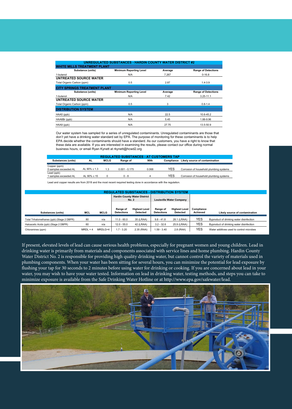|                                  | <b>UNREGULATED SUBSTANCES - HARDIN COUNTY WATER DISTRICT #2</b> |         |                            |  |  |  |  |  |
|----------------------------------|-----------------------------------------------------------------|---------|----------------------------|--|--|--|--|--|
| IILLS TREATMENT PLANT            |                                                                 |         |                            |  |  |  |  |  |
| Substance (units)                | <b>Minimum Reporting Level</b>                                  | Average | <b>Range of Detections</b> |  |  |  |  |  |
| 1-butanol                        | N/A                                                             | 7.267   | $0 - 16.8$                 |  |  |  |  |  |
| UNTREATED SOURCE WATER           |                                                                 |         |                            |  |  |  |  |  |
| Total Organic Carbon (ppm)       | 0.5                                                             | 2.87    | $1.4 - 3.9$                |  |  |  |  |  |
| <b>Y SPRINGS TREATMENT PLANT</b> |                                                                 |         |                            |  |  |  |  |  |
| Substance (units)                | <b>Minimum Reporting Level</b>                                  | Average | <b>Range of Detections</b> |  |  |  |  |  |
| 1-butanol                        | N/A                                                             | 7.42    | $3.25 - 11.1$              |  |  |  |  |  |
| UNTREATED SOURCE WATER           |                                                                 |         |                            |  |  |  |  |  |
| Total Organic Carbon (ppm)       | 0.5                                                             | 3       | $0.8 - 1.4$                |  |  |  |  |  |
| <b>DISTRIBUTION SYSTEM</b>       |                                                                 |         |                            |  |  |  |  |  |
| HAA5 (ppb)                       | N/A                                                             | 22.5    | 10.6-45.2                  |  |  |  |  |  |
| HAA6Br (ppb)                     | N/A                                                             | 5.45    | 1.88-9.96                  |  |  |  |  |  |
| HAA9 (ppb)                       | N/A                                                             | 27.75   | 13.5-50.9                  |  |  |  |  |  |

Our water system has sampled for a series of unregulated contaminants. Unregulated contaminants are those that don't yet have a drinking water standard set by EPA. The purpose of monitoring for these contaminants is to help EPA decide whether the contaminants should have a standard. As our customers, you have a right to know that these data are available. If you are interested in examining the results, please contact our office during normal business hours, or email Ryan Kynett at rkynett@hcwd2.org

|                                     |                  |             | <b>REGULATED SUBSTANCES - AT CUSTOMERS TAP</b> |       |            |                                         |
|-------------------------------------|------------------|-------------|------------------------------------------------|-------|------------|-----------------------------------------|
| <b>Substances (units)</b>           | AL               | <b>MCLG</b> | Range of                                       | 90th  | Compliance | Likely source of contamination          |
| Copper (ppm)                        |                  |             |                                                |       |            |                                         |
| 0 samples exceeded AL               | AL 90% < $1.3$   | 1.3         | $0.001 - 0.175$                                | 0.068 | YES        | Corrosion of household plumbing systems |
| Lead (ppb)<br>1 samples exceeded AL | AL 90% $\leq 15$ |             | $0 - 8$                                        |       | YES        | Corrosion of household plumbing systems |

Lead and copper results are from 2018 and the most recent required testing done in accordance with the regulation.

| <b>REGULATED SUBSTANCES - DISTRIBUTION SYSTEM</b> |            |                                                     |                               |                                         |                               |                                         |                        |                                          |  |
|---------------------------------------------------|------------|-----------------------------------------------------|-------------------------------|-----------------------------------------|-------------------------------|-----------------------------------------|------------------------|------------------------------------------|--|
|                                                   |            | <b>Hardin County Water District</b><br><b>No. 2</b> |                               | <b>Louisville Water Company</b>         |                               |                                         |                        |                                          |  |
| Substances (units)                                | MCL        | <b>MCLG</b>                                         | Range of<br><b>Detections</b> | <b>Highest Level</b><br><b>Detected</b> | Range of<br><b>Detections</b> | <b>Highest Level</b><br><b>Detected</b> | Compliance<br>Achieved | Likely source of contamination           |  |
| Total Trihalomethanes (ppb) (Stage 2 DBPR)        | 80         | n/a                                                 | $11.0 - 60.0$                 | 35 (LRAA)                               | $9.8 - 41.8$                  | 28.1 (LRAA)                             | YES                    | Byproduct of drinking water disinfection |  |
| Haloacetic Acids (ppb) (Stage 2 DBPR)             | 60         | n/a                                                 | $12.0 - 55.0$                 | 42 (LRAA)                               | $3.2 - 32.6$                  | 25.9 (LRAA)                             | YES                    | Byproduct of drinking water disinfection |  |
| Chloramines (ppm)                                 | $MRDL = 4$ | MRDLG=4                                             | $1.7 - 3.20$                  | 2.35 (RAA)                              | 1.59 - 3.40                   | 2.8 (RAA)                               | YES                    | Water additives used to control microbes |  |

If present, elevated levels of lead can cause serious health problems, especially for pregnant women and young children. Lead in drinking water is primarily from materials and components associated with service lines and home plumbing. Hardin County Water District No. 2 is responsible for providing high quality drinking water, but cannot control the variety of materials used in plumbing components. When your water has been sitting for several hours, you can minimize the potential for lead exposure by flushing your tap for 30 seconds to 2 minutes before using water for drinking or cooking. If you are concerned about lead in your water, you may wish to have your water tested. Information on lead in drinking water, testing methods, and steps you can take to minimize exposure is available from the Safe Drinking Water Hotline or at http://www.epa.gov/safewater/lead.